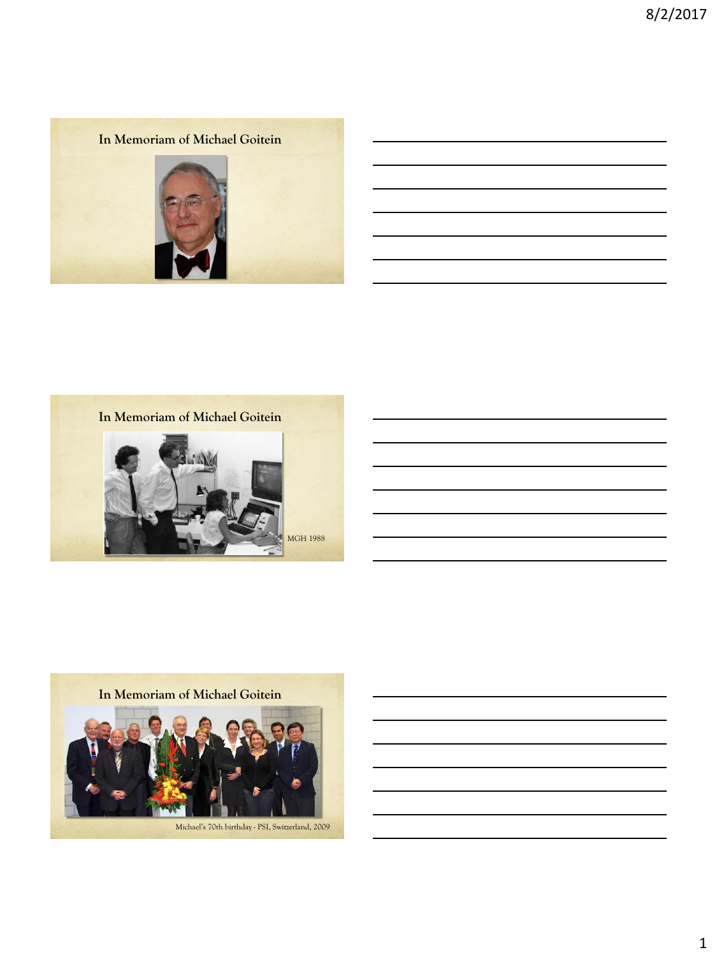the control of the control of the control of the control of the control of the control of

the control of the control of the control of the control of the control of

**In Memoriam of Michael Goitein**



**In Memoriam of Michael Goitein**



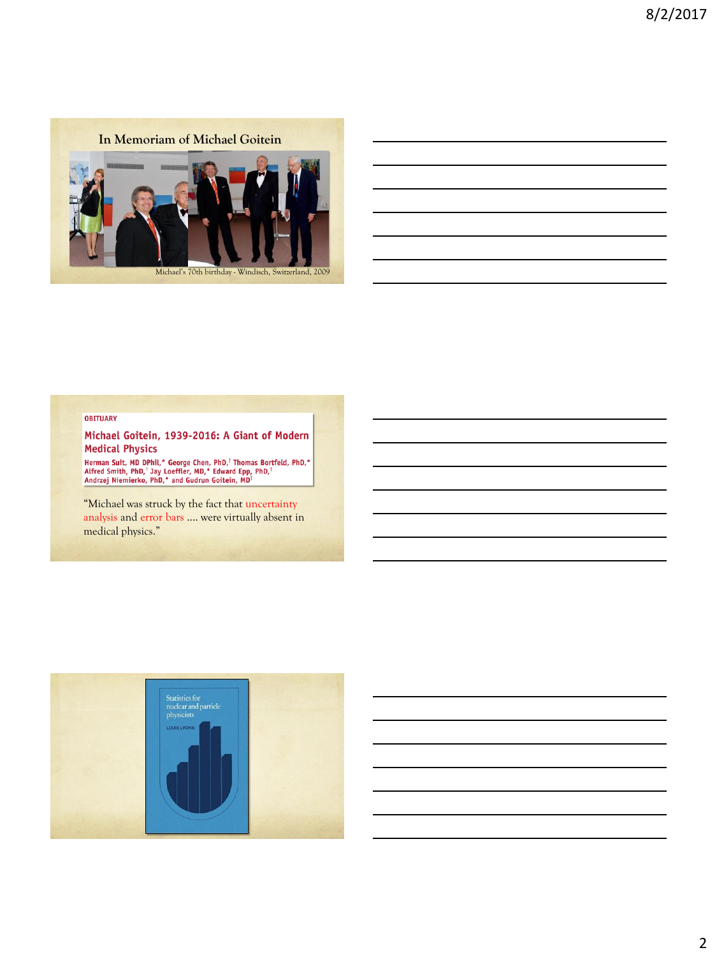

### **OBITUARY**

Michael Goitein, 1939-2016: A Giant of Modern **Medical Physics** 

Herman Suit, MD DPhil,\* George Chen, PhD,<sup>1</sup> Thomas Bortfeld, PhD,\*<br>Alfred Smith, PhD,<sup>1</sup> Jay Loeffler, MD,\* Edward Epp, PhD,<sup>1</sup><br>Andrzej Niemierko, PhD,\* and Gudrun Goitein, MD<sup>1</sup>

"Michael was struck by the fact that uncertainty analysis and error bars …. were virtually absent in medical physics."

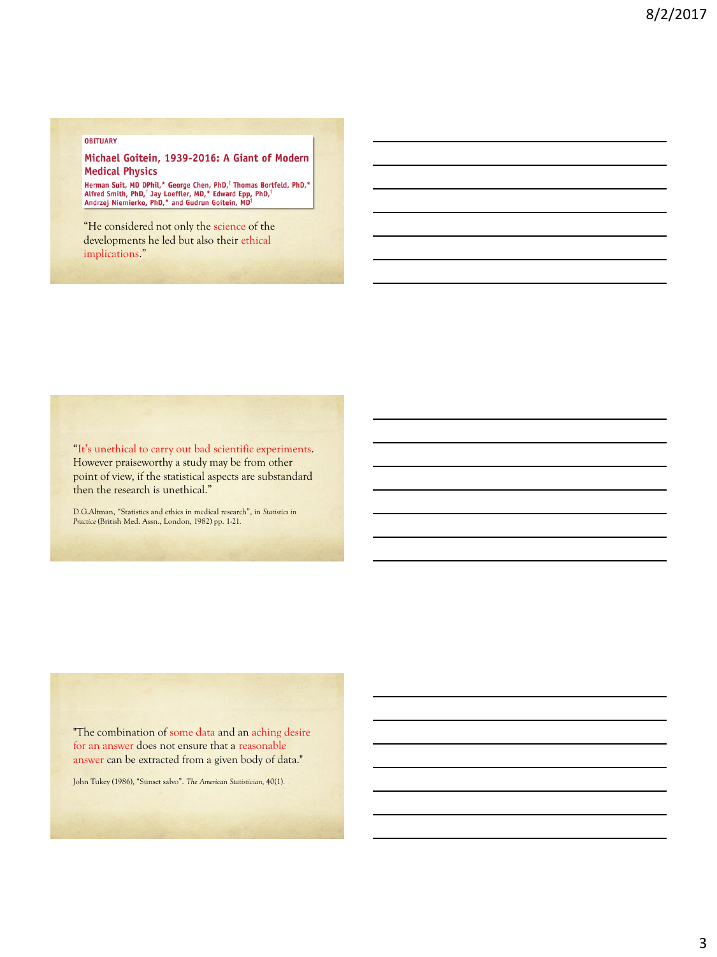#### **OBITUARY**

### Michael Goitein, 1939-2016: A Giant of Modern **Medical Physics**

Herman Suit, MD DPhil,\* George Chen, PhD,<sup>†</sup> Thomas Bortfeld, PhD,\*<br>Alfred Smith, PhD,<sup>†</sup> Jay Loeffler, MD,\* Edward Epp, PhD,<sup>†</sup><br>Andrzej Niemierko, PhD,\* and Gudrun Goitein, MD<sup>†</sup>

"He considered not only the science of the developments he led but also their ethical implications."

"It's unethical to carry out bad scientific experiments. However praiseworthy a study may be from other point of view, if the statistical aspects are substandard then the research is unethical."

D.G.Altman, "Statistics and ethics in medical research", in *Statistics in Practice* (British Med. Assn., London, 1982) pp. 1-21.

"The combination of some data and an aching desire for an answer does not ensure that a reasonable answer can be extracted from a given body of data."

John Tukey (1986), "Sunset salvo". *The American Statistician,* 40(1).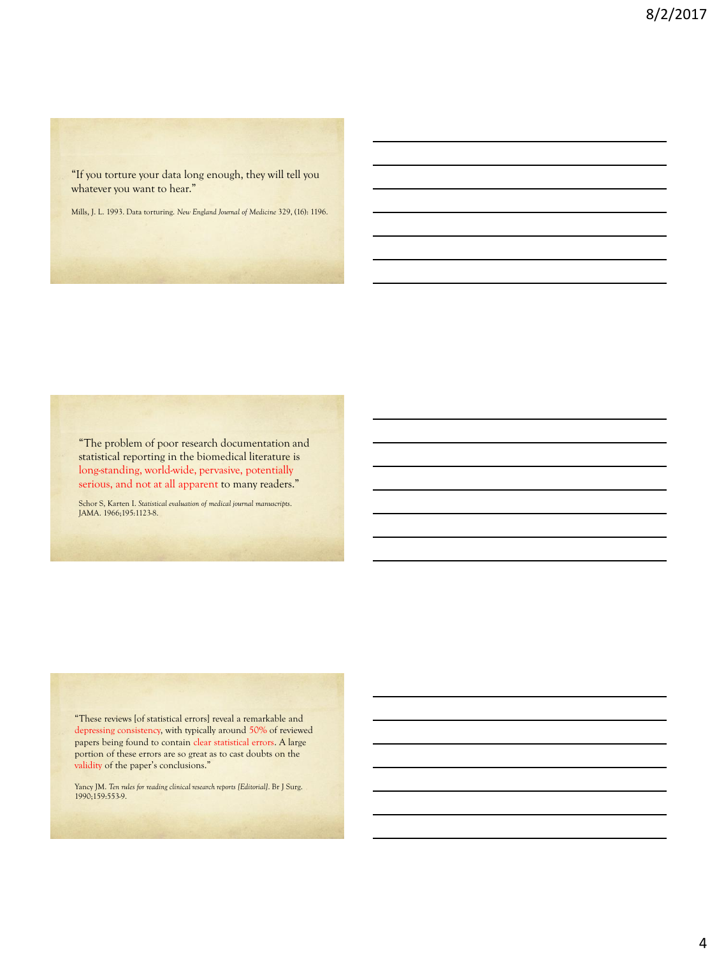"If you torture your data long enough, they will tell you whatever you want to hear."

Mills, J. L. 1993. Data torturing. *New England Journal of Medicine* 329, (16): 1196.

"The problem of poor research documentation and statistical reporting in the biomedical literature is long-standing, world-wide, pervasive, potentially serious, and not at all apparent to many readers."

Schor S, Karten I. *Statistical evaluation of medical journal manuscripts*. JAMA. 1966;195:1123-8.

"These reviews [of statistical errors] reveal a remarkable and depressing consistency, with typically around 50% of reviewed papers being found to contain clear statistical errors. A large portion of these errors are so great as to cast doubts on the validity of the paper's conclusions."

Yancy JM. *Ten rules for reading clinical research reports [Editorial]*. Br J Surg. 1990;159:553-9.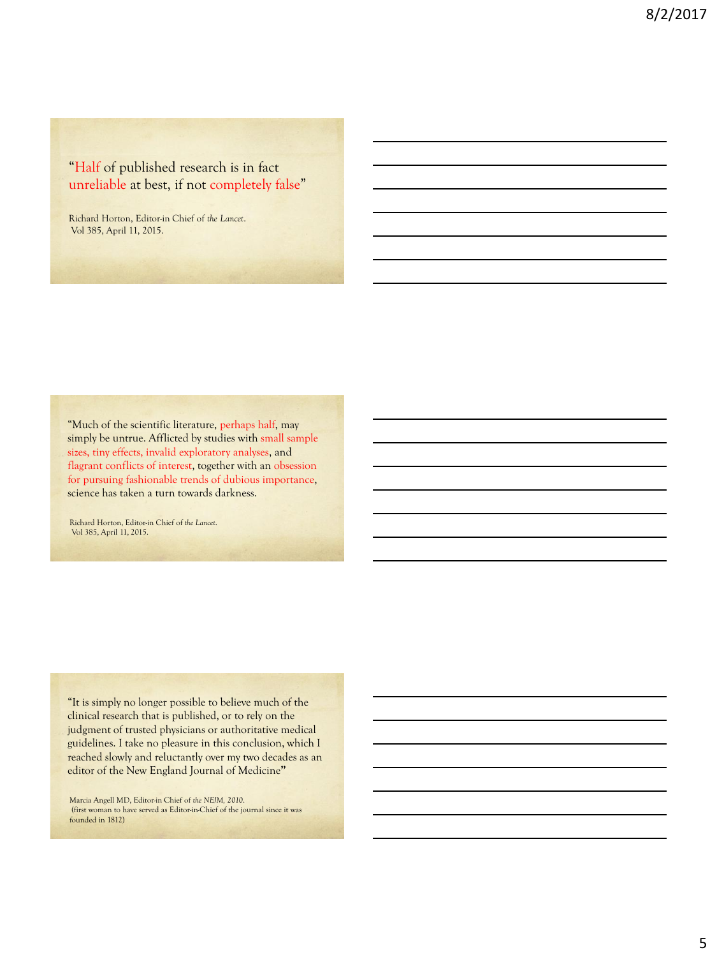"Half of published research is in fact unreliable at best, if not completely false"

Richard Horton, Editor-in Chief of *the Lancet*. Vol 385, April 11, 2015.

"Much of the scientific literature, perhaps half, may simply be untrue. Afflicted by studies with small sample sizes, tiny effects, invalid exploratory analyses, and flagrant conflicts of interest, together with an obsession for pursuing fashionable trends of dubious importance, science has taken a turn towards darkness.

Richard Horton, Editor-in Chief of *the Lancet*. Vol 385, April 11, 2015.

"It is simply no longer possible to believe much of the clinical research that is published, or to rely on the judgment of trusted physicians or authoritative medical guidelines. I take no pleasure in this conclusion, which I reached slowly and reluctantly over my two decades as an editor of the New England Journal of Medicine**"**

Marcia Angell MD, Editor-in Chief of *the NEJM, 2010*. (first woman to have served as Editor-in-Chief of the journal since it was founded in 1812)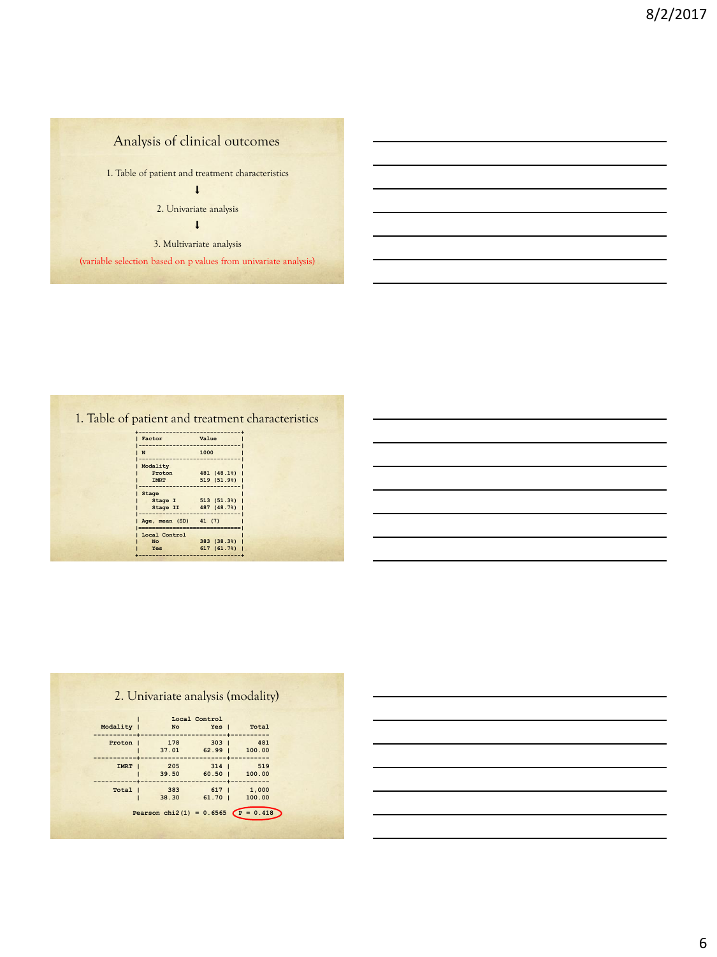# Analysis of clinical outcomes

1. Table of patient and treatment characteristics

 $\downarrow$ 

2. Univariate analysis

 $\pmb{\downarrow}$ 

3. Multivariate analysis

(variable selection based on p values from univariate analysis)

### 1. Table of patient and treatment characteristics

| Value                                    |
|------------------------------------------|
| 1000                                     |
| 481 (48.1%)<br>519 (51.9%)               |
| 513 (51.3%)<br>487 (48.7%)               |
| Age, mean (SD) 41 (7)<br>--------------- |
| 383 (38.3%)<br>617 (61.7%)               |
|                                          |

|  | 2. Univariate analysis (modality) |  |  |  |
|--|-----------------------------------|--|--|--|
|  |                                   |  |  |  |

|             |       | Local Control    |        |
|-------------|-------|------------------|--------|
| Modality    | No    | Yes I            | Total  |
| Proton      | 178   | 3031             | 481    |
|             | 37.01 | 62.991           | 100.00 |
| <b>IMRT</b> | 205   | $314$ $\pm$      | 519    |
|             | 39.50 | $60.50$ $\vert$  | 100.00 |
| Total       | 383   | 617 <sub>1</sub> | 1,000  |
|             | 38.30 | $61.70$          | 100.00 |

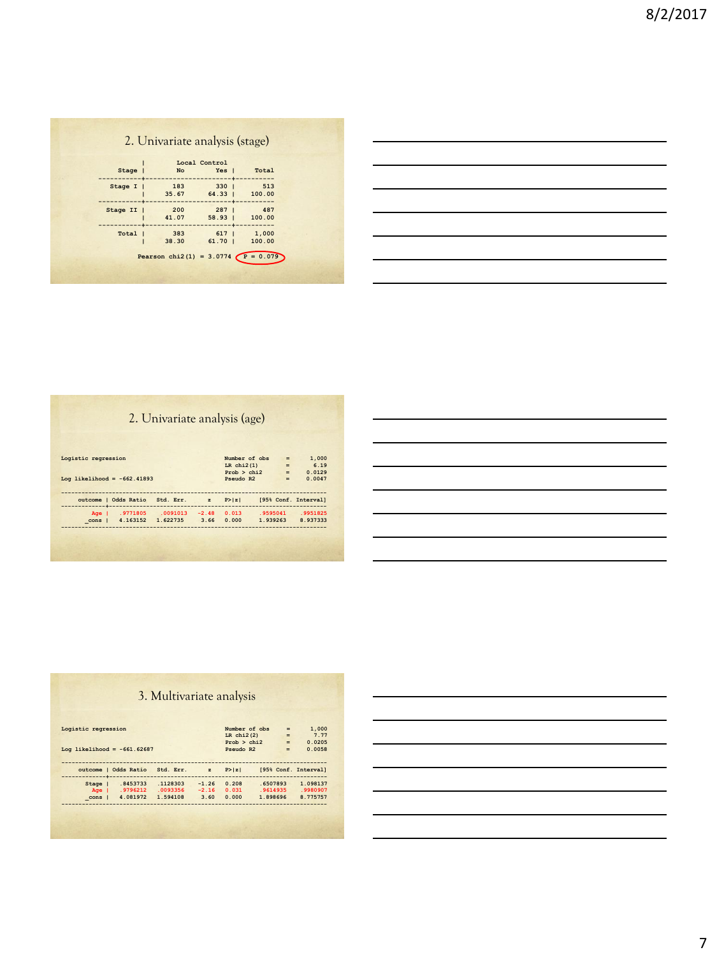# 2. Univariate analysis (stage)

|          |                                      | Local Control            |                             |
|----------|--------------------------------------|--------------------------|-----------------------------|
| Stage    | No                                   | Yes I                    | Total                       |
| Stage I  | 183<br>35.67                         | $330 \quad  $<br>$64.33$ | ----------<br>513<br>100.00 |
| Stage II | 200<br>41.07                         | $287 \mid$<br>$58.93$    | 487<br>100.00               |
| Total    | 383<br>38.30                         | 6171<br>$61.70$          | 1,000<br>100.00             |
|          | Pearson chi2(1) = 3.0774 $P = 0.079$ |                          |                             |

# 2. Univariate analysis (age)

| Logistic regression           |                                                        |          |              |        | Number of obs<br>LR $chi2(1)$ | $\equiv$<br>$=$ | 1,000<br>6.19        |
|-------------------------------|--------------------------------------------------------|----------|--------------|--------|-------------------------------|-----------------|----------------------|
|                               |                                                        |          |              |        | Prob > chi2                   | $=$             | 0.0129               |
| Log likelihood = $-662.41893$ |                                                        |          |              |        | Pseudo R2                     | $=$             | 0.0047               |
|                               |                                                        |          |              |        |                               |                 |                      |
|                               | outcome   Odds Ratio Std. Err.<br>-------------------- |          | $\mathbf{z}$ | P >  z |                               |                 | [95% Conf. Interval] |
| $A\sigma e$                   | .9771805                                               | .0091013 | $-2.48$      | 0.013  | .9595041                      |                 | .9951825             |

| Logistic regression           |                      |                                 |              |                 | Number of obs | $=$ | 1,000                |
|-------------------------------|----------------------|---------------------------------|--------------|-----------------|---------------|-----|----------------------|
|                               |                      |                                 |              | $LR$ chi $2(2)$ |               |     | 7.77<br>$=$          |
|                               |                      |                                 |              |                 | Prob > chi2   |     | 0.0205<br>$=$ $-$    |
| Log likelihood = $-661.62687$ |                      |                                 |              | Pseudo R2       |               | $=$ | 0.0058               |
|                               |                      |                                 |              |                 |               |     |                      |
|                               |                      | outcome   Odds Ratio Std. Err.  | $\mathbf{z}$ | P >  z          |               |     | [95% Conf. Interval] |
|                               |                      |                                 |              |                 |               |     |                      |
|                               | -------------------- | Stage   .8453733 .1128303 -1.26 |              | 0.208           | .6507893      |     | 1.098137             |
|                               |                      | Age   .9796212 .0093356         | $-2.16$      | 0.031           | .9614935      |     | .9980907             |

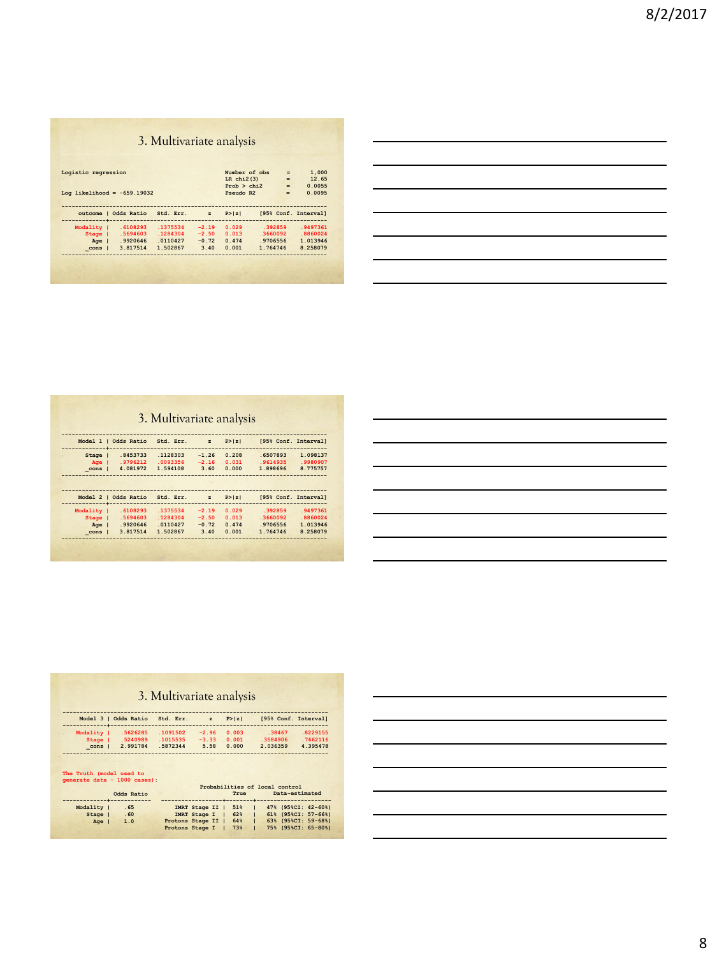# 3. Multivariate analysis

|             | Log likelihood = $-659.19032$ |           |              | $LR$ chi $2(3)$<br>Prob > chi2<br>Pseudo R2 |          | $=$<br>$=$<br>$=$ | 12.65<br>0.0055<br>0.0095 |
|-------------|-------------------------------|-----------|--------------|---------------------------------------------|----------|-------------------|---------------------------|
|             | outcome   Odds Ratio          | Std. Err. | $\mathbf{z}$ | P >  z                                      |          |                   | [95% Conf. Interval]      |
| Modality    | .6108293                      | .1375534  | $-2.19$      | 0.029                                       | .392859  |                   | .9497361                  |
| Stage       | .5694603                      | .1284304  | $-2.50$      | 0.013                                       | .3660092 |                   | $-8860024$                |
|             | .9920646                      | .0110427  | $-0.72$      | 0.474                                       | .9706556 |                   | 1.013946                  |
| $A\sigma e$ |                               | 1.502867  | 3.40         | 0.001                                       | 1.764746 |                   | 8.258079                  |

| <u> 1989 - Johann Stoff, deutscher Stoff, der Stoff, der Stoff, der Stoff, der Stoff, der Stoff, der Stoff, der S</u> |  |  |
|-----------------------------------------------------------------------------------------------------------------------|--|--|
| <u> 1989 - Johann Stoff, deutscher Stoffen und der Stoffen und der Stoffen und der Stoffen und der Stoffen und de</u> |  |  |
| <u> 1989 - Andrea Andrea Andrea Andrea Andrea Andrea Andrea Andrea Andrea Andrea Andrea Andrea Andrea Andrea And</u>  |  |  |
| <u> 1989 - Johann Stoff, deutscher Stoff, der Stoff, der Stoff, der Stoff, der Stoff, der Stoff, der Stoff, der S</u> |  |  |
|                                                                                                                       |  |  |
|                                                                                                                       |  |  |

# 3. Multivariate analysis

|                      | Model 1   Odds Ratio | Std. Err. | $\mathbf{z}$ | P >  z | [95% Conf. Interval]<br>-------------------------------------- |          |
|----------------------|----------------------|-----------|--------------|--------|----------------------------------------------------------------|----------|
| Stage                | .8453733             | .1128303  | $-1.26$      | 0.208  | .6507893                                                       | 1.098137 |
| Age I                | .9796212             | .0093356  | $-2.16$      | 0.031  | .9614935                                                       | .9980907 |
| cons                 | 4.081972             | 1.594108  | 3.60         | 0.000  | 1.898696                                                       | 8.775757 |
|                      |                      |           |              |        |                                                                |          |
| Model 2   Odds Ratio |                      | Std. Err. | $\mathbf{z}$ | P >  z | [95% Conf. Interval]                                           |          |
| Modality             | .6108293             | .1375534  | $-2.19$      | 0.029  | .392859                                                        | .9497361 |
|                      | .5694603             | .1284304  | $-2.50$      | 0.013  | $-3660092$                                                     | .8860024 |
| Stage                | .9920646             | .0110427  | $-0.72$      | 0.474  | .9706556                                                       | 1.013946 |
| Age                  |                      |           |              |        |                                                                |          |

| <u> 1989 - Andrea Andrew Maria (h. 1989).</u>                                                                          |  |  |
|------------------------------------------------------------------------------------------------------------------------|--|--|
| <u> 1989 - Johann Barn, mars ann an t-Amhain ann an t-Amhain ann an t-Amhain ann an t-Amhain an t-Amhain ann an t-</u> |  |  |
| <u> 1989 - Johann Harry Harry Harry Harry Harry Harry Harry Harry Harry Harry Harry Harry Harry Harry Harry Harry</u>  |  |  |
| <u> 1989 - Johann Stoff, amerikansk politiker (d. 1989)</u>                                                            |  |  |
| <u> 1989 - Johann Stoff, deutscher Stoffen und der Stoffen und der Stoffen und der Stoffen und der Stoffen und der</u> |  |  |
| <u> 1989 - Johann Stoff, deutscher Stoff, der Stoff, der Stoff, der Stoff, der Stoff, der Stoff, der Stoff, der S</u>  |  |  |
| <u> 1989 - Johann Stoff, deutscher Stoff, der Stoff, der Stoff, der Stoff, der Stoff, der Stoff, der Stoff, der S</u>  |  |  |
|                                                                                                                        |  |  |

|          |                                                                             | 3. Multivariate analysis |                  |                     |                                               |          |
|----------|-----------------------------------------------------------------------------|--------------------------|------------------|---------------------|-----------------------------------------------|----------|
|          | Model 3   Odds Ratio Std. Err. z P> z <br>-----------+--------------------- |                          |                  |                     | [95% Conf. Interval]                          |          |
|          | Modality   .5626285 .1091502 -2.96 0.003                                    |                          | ---------------- |                     | .38467                                        | 8229155  |
|          | Stage   .5240989 .1015535 -3.33 0.001                                       |                          |                  |                     | 3584906                                       | .7662116 |
|          | cons   2.991784 .5872344 5.58 0.000                                         |                          |                  |                     | 2.036359                                      | 4.395478 |
|          | The Truth (model used to<br>generate data - 1000 cases):                    |                          |                  |                     |                                               |          |
|          |                                                                             |                          |                  |                     | Probabilities of local control                |          |
|          | Odds Ratio<br>--------+------------                                         |                          |                  | True                | Data-estimated<br>-+--------+---------------- |          |
| Modality | .65                                                                         |                          |                  | IMRT Stage II   51% | $1$ 47% (95%CI: 42-60%)                       |          |
| Stage    | .60                                                                         |                          |                  | IMRT Stage I   62%  | $1$ 61% (95%CI: 57-66%)                       |          |
| Age      | 1.0                                                                         |                          |                  |                     | Protons Stage II   64%   63% (95%CI: 59-68%)  |          |
|          |                                                                             |                          |                  |                     |                                               |          |